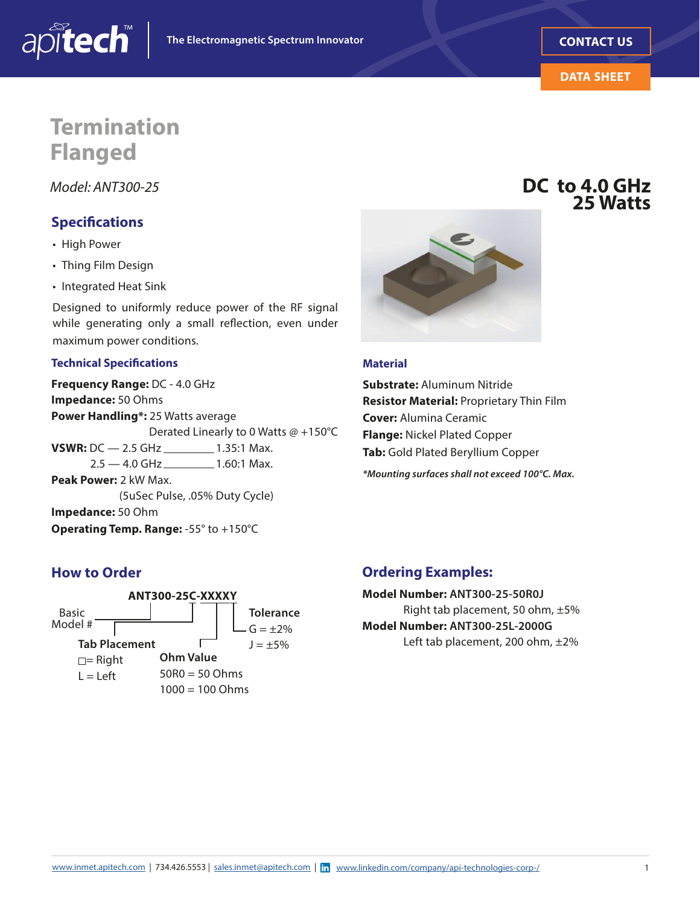



**DC to 4.0 GHz**

**25 Watts**

# **Termination Flanged**

*Model: ANT300-25*

### **Specifcations**

• High Power

apitech

- Thing Film Design
- Integrated Heat Sink

Designed to uniformly reduce power of the RF signal while generating only a small refection, even under maximum power conditions.

#### **Technical Specifcations**

**VSWR:** DC - 2.5 GHz \_\_\_\_\_\_\_\_\_ 1.35:1 Max. **Frequency Range:** DC - 4.0 GHz **Impedance:** 50 Ohms **Power Handling\*:** 25 Watts average Derated Linearly to 0 Watts @ +150°C  $2.5 - 4.0$  GHz \_\_\_\_\_\_\_\_\_\_ 1.60:1 Max. **Peak Power:** 2 kW Max. (5uSec Pulse, .05% Duty Cycle) **Impedance:** 50 Ohm **Operating Temp. Range:** -55° to +150°C



#### **Material**

**Substrate:** Aluminum Nitride **Resistor Material:** Proprietary Thin Film **Cover:** Alumina Ceramic **Flange:** Nickel Plated Copper **Tab:** Gold Plated Beryllium Copper

*\*Mounting surfaces shall not exceed 100°C. Max.* 

### **How to Order**



#### **Ordering Examples:**

**Model Number: ANT300-25-50R0J**  Right tab placement, 50 ohm, ±5% **Model Number: ANT300-25L-2000G**  Left tab placement, 200 ohm, ±2%